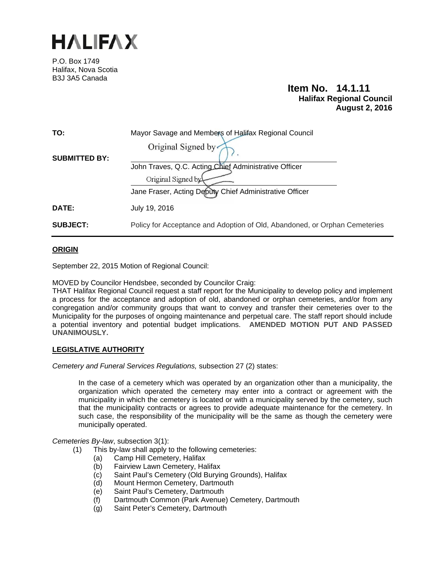

P.O. Box 1749 Halifax, Nova Scotia B3J 3A5 Canada

# **Item No. 14.1.11 Halifax Regional Council August 2, 2016**

| TO:                  | Mayor Savage and Members of Halifax Regional Council                       |
|----------------------|----------------------------------------------------------------------------|
|                      | Original Signed by                                                         |
| <b>SUBMITTED BY:</b> | John Traves, Q.C. Acting Chief Administrative Officer                      |
|                      | Original Signed by                                                         |
|                      | Jane Fraser, Acting Deputy Chief Administrative Officer                    |
| <b>DATE:</b>         | July 19, 2016                                                              |
| <b>SUBJECT:</b>      | Policy for Acceptance and Adoption of Old, Abandoned, or Orphan Cemeteries |

### **ORIGIN**

September 22, 2015 Motion of Regional Council:

MOVED by Councilor Hendsbee, seconded by Councilor Craig:

THAT Halifax Regional Council request a staff report for the Municipality to develop policy and implement a process for the acceptance and adoption of old, abandoned or orphan cemeteries, and/or from any congregation and/or community groups that want to convey and transfer their cemeteries over to the Municipality for the purposes of ongoing maintenance and perpetual care. The staff report should include a potential inventory and potential budget implications. **AMENDED MOTION PUT AND PASSED UNANIMOUSLY.**

### **LEGISLATIVE AUTHORITY**

*Cemetery and Funeral Services Regulations,* subsection 27 (2) states:

In the case of a cemetery which was operated by an organization other than a municipality, the organization which operated the cemetery may enter into a contract or agreement with the municipality in which the cemetery is located or with a municipality served by the cemetery, such that the municipality contracts or agrees to provide adequate maintenance for the cemetery. In such case, the responsibility of the municipality will be the same as though the cemetery were municipally operated.

*Cemeteries By-law*, subsection 3(1):

- (1) This by-law shall apply to the following cemeteries:
	- (a) Camp Hill Cemetery, Halifax
	- (b) Fairview Lawn Cemetery, Halifax
	- (c) Saint Paul's Cemetery (Old Burying Grounds), Halifax
	- (d) Mount Hermon Cemetery, Dartmouth
	- (e) Saint Paul's Cemetery, Dartmouth
	- (f) Dartmouth Common (Park Avenue) Cemetery, Dartmouth
	- (g) Saint Peter's Cemetery, Dartmouth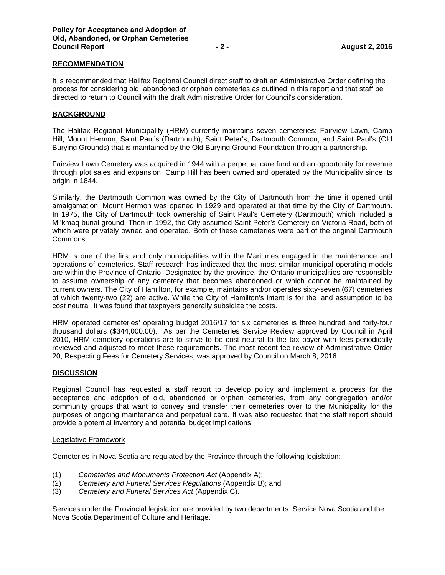### **RECOMMENDATION**

It is recommended that Halifax Regional Council direct staff to draft an Administrative Order defining the process for considering old, abandoned or orphan cemeteries as outlined in this report and that staff be directed to return to Council with the draft Administrative Order for Council's consideration.

### **BACKGROUND**

The Halifax Regional Municipality (HRM) currently maintains seven cemeteries: Fairview Lawn, Camp Hill, Mount Hermon, Saint Paul's (Dartmouth), Saint Peter's, Dartmouth Common, and Saint Paul's (Old Burying Grounds) that is maintained by the Old Burying Ground Foundation through a partnership.

Fairview Lawn Cemetery was acquired in 1944 with a perpetual care fund and an opportunity for revenue through plot sales and expansion. Camp Hill has been owned and operated by the Municipality since its origin in 1844.

Similarly, the Dartmouth Common was owned by the City of Dartmouth from the time it opened until amalgamation. Mount Hermon was opened in 1929 and operated at that time by the City of Dartmouth. In 1975, the City of Dartmouth took ownership of Saint Paul's Cemetery (Dartmouth) which included a Mi'kmaq burial ground. Then in 1992, the City assumed Saint Peter's Cemetery on Victoria Road, both of which were privately owned and operated. Both of these cemeteries were part of the original Dartmouth Commons.

HRM is one of the first and only municipalities within the Maritimes engaged in the maintenance and operations of cemeteries. Staff research has indicated that the most similar municipal operating models are within the Province of Ontario. Designated by the province, the Ontario municipalities are responsible to assume ownership of any cemetery that becomes abandoned or which cannot be maintained by current owners. The City of Hamilton, for example, maintains and/or operates sixty-seven (67) cemeteries of which twenty-two (22) are active. While the City of Hamilton's intent is for the land assumption to be cost neutral, it was found that taxpayers generally subsidize the costs.

HRM operated cemeteries' operating budget 2016/17 for six cemeteries is three hundred and forty-four thousand dollars (\$344,000.00). As per the Cemeteries Service Review approved by Council in April 2010, HRM cemetery operations are to strive to be cost neutral to the tax payer with fees periodically reviewed and adjusted to meet these requirements. The most recent fee review of Administrative Order 20, Respecting Fees for Cemetery Services, was approved by Council on March 8, 2016.

### **DISCUSSION**

Regional Council has requested a staff report to develop policy and implement a process for the acceptance and adoption of old, abandoned or orphan cemeteries, from any congregation and/or community groups that want to convey and transfer their cemeteries over to the Municipality for the purposes of ongoing maintenance and perpetual care. It was also requested that the staff report should provide a potential inventory and potential budget implications.

#### Legislative Framework

Cemeteries in Nova Scotia are regulated by the Province through the following legislation:

- (1) *Cemeteries and Monuments Protection Act* (Appendix A);
- (2) *Cemetery and Funeral Services Regulations* (Appendix B); and
- (3) *Cemetery and Funeral Services Act* (Appendix C).

Services under the Provincial legislation are provided by two departments: Service Nova Scotia and the Nova Scotia Department of Culture and Heritage.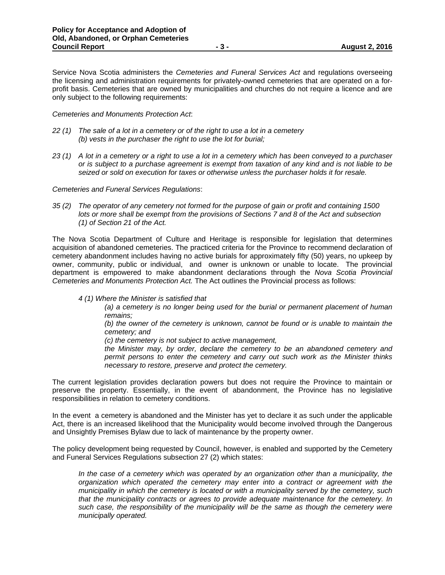Service Nova Scotia administers the *Cemeteries and Funeral Services Act* and regulations overseeing the licensing and administration requirements for privately-owned cemeteries that are operated on a forprofit basis. Cemeteries that are owned by municipalities and churches do not require a licence and are only subject to the following requirements:

*Cemeteries and Monuments Protection Act*:

- *22 (1) The sale of a lot in a cemetery or of the right to use a lot in a cemetery (b) vests in the purchaser the right to use the lot for burial;*
- *23 (1) A lot in a cemetery or a right to use a lot in a cemetery which has been conveyed to a purchaser or is subject to a purchase agreement is exempt from taxation of any kind and is not liable to be seized or sold on execution for taxes or otherwise unless the purchaser holds it for resale.*

*Cemeteries and Funeral Services Regulations*:

*35 (2) The operator of any cemetery not formed for the purpose of gain or profit and containing 1500 lots or more shall be exempt from the provisions of Sections 7 and 8 of the Act and subsection (1) of Section 21 of the Act.* 

The Nova Scotia Department of Culture and Heritage is responsible for legislation that determines acquisition of abandoned cemeteries. The practiced criteria for the Province to recommend declaration of cemetery abandonment includes having no active burials for approximately fifty (50) years, no upkeep by owner, community, public or individual, and owner is unknown or unable to locate. The provincial department is empowered to make abandonment declarations through the *Nova Scotia Provincial Cemeteries and Monuments Protection Act.* The Act outlines the Provincial process as follows:

*4 (1) Where the Minister is satisfied that* 

*(a) a cemetery is no longer being used for the burial or permanent placement of human remains;* 

*(b) the owner of the cemetery is unknown, cannot be found or is unable to maintain the cemetery; and* 

*(c) the cemetery is not subject to active management,* 

*the Minister may, by order, declare the cemetery to be an abandoned cemetery and permit persons to enter the cemetery and carry out such work as the Minister thinks necessary to restore, preserve and protect the cemetery.* 

The current legislation provides declaration powers but does not require the Province to maintain or preserve the property. Essentially, in the event of abandonment, the Province has no legislative responsibilities in relation to cemetery conditions.

In the event a cemetery is abandoned and the Minister has yet to declare it as such under the applicable Act, there is an increased likelihood that the Municipality would become involved through the Dangerous and Unsightly Premises Bylaw due to lack of maintenance by the property owner.

The policy development being requested by Council, however, is enabled and supported by the Cemetery and Funeral Services Regulations subsection 27 (2) which states:

*In the case of a cemetery which was operated by an organization other than a municipality, the organization which operated the cemetery may enter into a contract or agreement with the municipality in which the cemetery is located or with a municipality served by the cemetery, such that the municipality contracts or agrees to provide adequate maintenance for the cemetery. In such case, the responsibility of the municipality will be the same as though the cemetery were municipally operated.*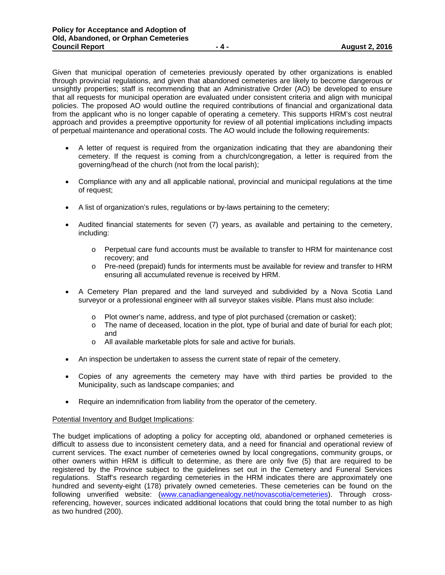Given that municipal operation of cemeteries previously operated by other organizations is enabled through provincial regulations, and given that abandoned cemeteries are likely to become dangerous or unsightly properties; staff is recommending that an Administrative Order (AO) be developed to ensure that all requests for municipal operation are evaluated under consistent criteria and align with municipal policies. The proposed AO would outline the required contributions of financial and organizational data from the applicant who is no longer capable of operating a cemetery. This supports HRM's cost neutral approach and provides a preemptive opportunity for review of all potential implications including impacts of perpetual maintenance and operational costs. The AO would include the following requirements:

- A letter of request is required from the organization indicating that they are abandoning their cemetery. If the request is coming from a church/congregation, a letter is required from the governing/head of the church (not from the local parish);
- Compliance with any and all applicable national, provincial and municipal regulations at the time of request;
- A list of organization's rules, regulations or by-laws pertaining to the cemetery;
- Audited financial statements for seven (7) years, as available and pertaining to the cemetery, including:
	- o Perpetual care fund accounts must be available to transfer to HRM for maintenance cost recovery; and
	- o Pre-need (prepaid) funds for interments must be available for review and transfer to HRM ensuring all accumulated revenue is received by HRM.
- A Cemetery Plan prepared and the land surveyed and subdivided by a Nova Scotia Land surveyor or a professional engineer with all surveyor stakes visible. Plans must also include:
	- o Plot owner's name, address, and type of plot purchased (cremation or casket);
	- $\circ$  The name of deceased, location in the plot, type of burial and date of burial for each plot; and
	- o All available marketable plots for sale and active for burials.
- An inspection be undertaken to assess the current state of repair of the cemetery.
- Copies of any agreements the cemetery may have with third parties be provided to the Municipality, such as landscape companies; and
- Require an indemnification from liability from the operator of the cemetery.

#### Potential Inventory and Budget Implications:

The budget implications of adopting a policy for accepting old, abandoned or orphaned cemeteries is difficult to assess due to inconsistent cemetery data, and a need for financial and operational review of current services. The exact number of cemeteries owned by local congregations, community groups, or other owners within HRM is difficult to determine, as there are only five (5) that are required to be registered by the Province subject to the guidelines set out in the Cemetery and Funeral Services regulations. Staff's research regarding cemeteries in the HRM indicates there are approximately one hundred and seventy-eight (178) privately owned cemeteries. These cemeteries can be found on the following unverified website: (www.canadiangenealogy.net/novascotia/cemeteries). Through crossreferencing, however, sources indicated additional locations that could bring the total number to as high as two hundred (200).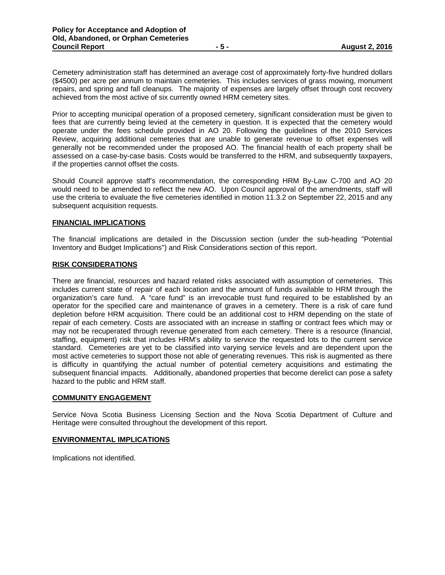Cemetery administration staff has determined an average cost of approximately forty-five hundred dollars (\$4500) per acre per annum to maintain cemeteries. This includes services of grass mowing, monument repairs, and spring and fall cleanups. The majority of expenses are largely offset through cost recovery achieved from the most active of six currently owned HRM cemetery sites.

Prior to accepting municipal operation of a proposed cemetery, significant consideration must be given to fees that are currently being levied at the cemetery in question. It is expected that the cemetery would operate under the fees schedule provided in AO 20. Following the guidelines of the 2010 Services Review, acquiring additional cemeteries that are unable to generate revenue to offset expenses will generally not be recommended under the proposed AO. The financial health of each property shall be assessed on a case-by-case basis. Costs would be transferred to the HRM, and subsequently taxpayers, if the properties cannot offset the costs.

Should Council approve staff's recommendation, the corresponding HRM By-Law C-700 and AO 20 would need to be amended to reflect the new AO. Upon Council approval of the amendments, staff will use the criteria to evaluate the five cemeteries identified in motion 11.3.2 on September 22, 2015 and any subsequent acquisition requests.

### **FINANCIAL IMPLICATIONS**

The financial implications are detailed in the Discussion section (under the sub-heading "Potential Inventory and Budget Implications") and Risk Considerations section of this report.

### **RISK CONSIDERATIONS**

There are financial, resources and hazard related risks associated with assumption of cemeteries. This includes current state of repair of each location and the amount of funds available to HRM through the organization's care fund. A "care fund" is an irrevocable trust fund required to be established by an operator for the specified care and maintenance of graves in a cemetery. There is a risk of care fund depletion before HRM acquisition. There could be an additional cost to HRM depending on the state of repair of each cemetery. Costs are associated with an increase in staffing or contract fees which may or may not be recuperated through revenue generated from each cemetery. There is a resource (financial, staffing, equipment) risk that includes HRM's ability to service the requested lots to the current service standard. Cemeteries are yet to be classified into varying service levels and are dependent upon the most active cemeteries to support those not able of generating revenues. This risk is augmented as there is difficulty in quantifying the actual number of potential cemetery acquisitions and estimating the subsequent financial impacts. Additionally, abandoned properties that become derelict can pose a safety hazard to the public and HRM staff.

### **COMMUNITY ENGAGEMENT**

Service Nova Scotia Business Licensing Section and the Nova Scotia Department of Culture and Heritage were consulted throughout the development of this report.

### **ENVIRONMENTAL IMPLICATIONS**

Implications not identified.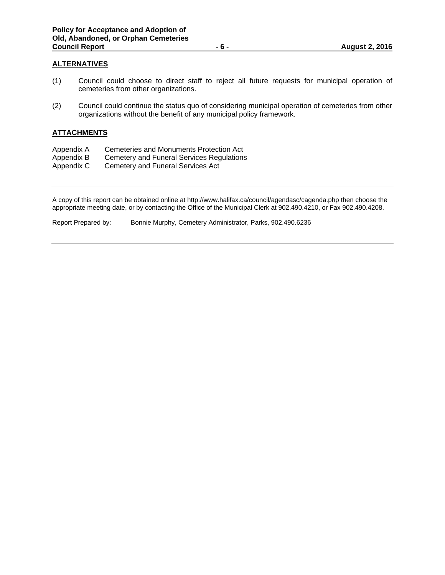### **ALTERNATIVES**

- (1) Council could choose to direct staff to reject all future requests for municipal operation of cemeteries from other organizations.
- (2) Council could continue the status quo of considering municipal operation of cemeteries from other organizations without the benefit of any municipal policy framework.

### **ATTACHMENTS**

- Appendix A Cemeteries and Monuments Protection Act
- Appendix B Cemetery and Funeral Services Regulations<br>Appendix C Cemetery and Funeral Services Act
- Cemetery and Funeral Services Act

A copy of this report can be obtained online at http://www.halifax.ca/council/agendasc/cagenda.php then choose the appropriate meeting date, or by contacting the Office of the Municipal Clerk at 902.490.4210, or Fax 902.490.4208.

Report Prepared by: Bonnie Murphy, Cemetery Administrator, Parks, 902.490.6236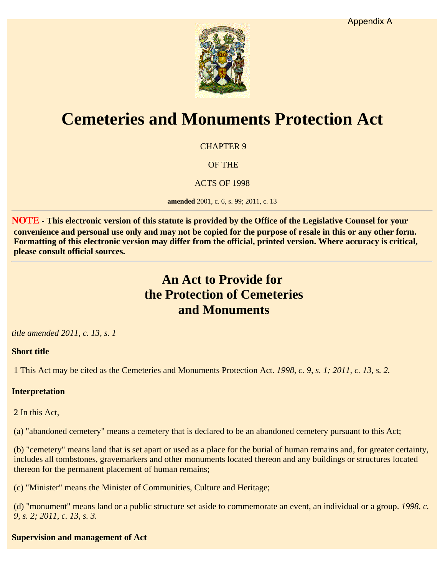

# **Cemeteries and Monuments Protection Act**

CHAPTER 9

OF THE

ACTS OF 1998

**amended** 2001, c. 6, s. 99; 2011, c. 13

**NOTE - This electronic version of this statute is provided by the Office of the Legislative Counsel for your convenience and personal use only and may not be copied for the purpose of resale in this or any other form. Formatting of this electronic version may differ from the official, printed version. Where accuracy is critical, please consult official sources.**

# **An Act to Provide for the Protection of Cemeteries and Monuments**

# *title amended 2011, c. 13, s. 1*

### **Short title**

1 This Act may be cited as the Cemeteries and Monuments Protection Act. *1998, c. 9, s. 1; 2011, c. 13, s. 2.*

# **Interpretation**

2 In this Act,

(a) "abandoned cemetery" means a cemetery that is declared to be an abandoned cemetery pursuant to this Act;

(b) "cemetery" means land that is set apart or used as a place for the burial of human remains and, for greater certainty, includes all tombstones, gravemarkers and other monuments located thereon and any buildings or structures located thereon for the permanent placement of human remains;

(c) "Minister" means the Minister of Communities, Culture and Heritage;

(d) "monument" means land or a public structure set aside to commemorate an event, an individual or a group. *1998, c. 9, s. 2; 2011, c. 13, s. 3.*

**Supervision and management of Act**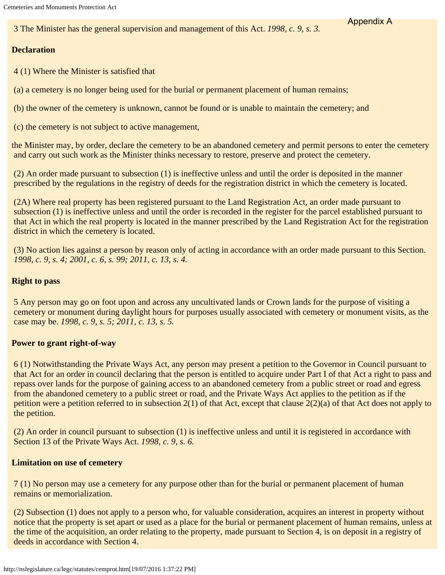3 The Minister has the general supervision and management of this Act. *1998, c. 9, s. 3.*

### **Declaration**

4 (1) Where the Minister is satisfied that

(a) a cemetery is no longer being used for the burial or permanent placement of human remains;

(b) the owner of the cemetery is unknown, cannot be found or is unable to maintain the cemetery; and

(c) the cemetery is not subject to active management,

the Minister may, by order, declare the cemetery to be an abandoned cemetery and permit persons to enter the cemetery and carry out such work as the Minister thinks necessary to restore, preserve and protect the cemetery.

Appendix A

(2) An order made pursuant to subsection (1) is ineffective unless and until the order is deposited in the manner prescribed by the regulations in the registry of deeds for the registration district in which the cemetery is located.

(2A) Where real property has been registered pursuant to the Land Registration Act, an order made pursuant to subsection (1) is ineffective unless and until the order is recorded in the register for the parcel established pursuant to that Act in which the real property is located in the manner prescribed by the Land Registration Act for the registration district in which the cemetery is located.

(3) No action lies against a person by reason only of acting in accordance with an order made pursuant to this Section. *1998, c. 9, s. 4; 2001, c. 6, s. 99; 2011, c. 13, s. 4.*

### **Right to pass**

5 Any person may go on foot upon and across any uncultivated lands or Crown lands for the purpose of visiting a cemetery or monument during daylight hours for purposes usually associated with cemetery or monument visits, as the case may be. *1998, c. 9, s. 5; 2011, c. 13, s. 5.*

### **Power to grant right-of-way**

6 (1) Notwithstanding the Private Ways Act, any person may present a petition to the Governor in Council pursuant to that Act for an order in council declaring that the person is entitled to acquire under Part I of that Act a right to pass and repass over lands for the purpose of gaining access to an abandoned cemetery from a public street or road and egress from the abandoned cemetery to a public street or road, and the Private Ways Act applies to the petition as if the petition were a petition referred to in subsection 2(1) of that Act, except that clause 2(2)(a) of that Act does not apply to the petition.

(2) An order in council pursuant to subsection (1) is ineffective unless and until it is registered in accordance with Section 13 of the Private Ways Act. *1998, c. 9, s. 6.*

### **Limitation on use of cemetery**

7 (1) No person may use a cemetery for any purpose other than for the burial or permanent placement of human remains or memorialization.

(2) Subsection (1) does not apply to a person who, for valuable consideration, acquires an interest in property without notice that the property is set apart or used as a place for the burial or permanent placement of human remains, unless at the time of the acquisition, an order relating to the property, made pursuant to Section 4, is on deposit in a registry of deeds in accordance with Section 4.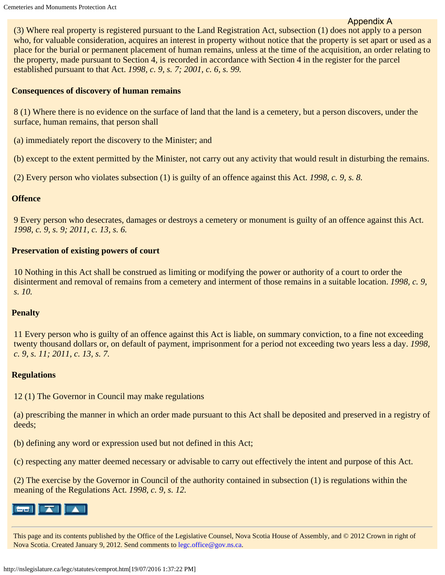### Appendix A

(3) Where real property is registered pursuant to the Land Registration Act, subsection (1) does not apply to a person who, for valuable consideration, acquires an interest in property without notice that the property is set apart or used as a place for the burial or permanent placement of human remains, unless at the time of the acquisition, an order relating to the property, made pursuant to Section 4, is recorded in accordance with Section 4 in the register for the parcel established pursuant to that Act. *1998, c. 9, s. 7; 2001, c. 6, s. 99.*

### **Consequences of discovery of human remains**

8 (1) Where there is no evidence on the surface of land that the land is a cemetery, but a person discovers, under the surface, human remains, that person shall

(a) immediately report the discovery to the Minister; and

(b) except to the extent permitted by the Minister, not carry out any activity that would result in disturbing the remains.

(2) Every person who violates subsection (1) is guilty of an offence against this Act. *1998, c. 9, s. 8.*

### **Offence**

9 Every person who desecrates, damages or destroys a cemetery or monument is guilty of an offence against this Act. *1998, c. 9, s. 9; 2011, c. 13, s. 6.*

### **Preservation of existing powers of court**

10 Nothing in this Act shall be construed as limiting or modifying the power or authority of a court to order the disinterment and removal of remains from a cemetery and interment of those remains in a suitable location. *1998, c. 9, s. 10.*

### **Penalty**

11 Every person who is guilty of an offence against this Act is liable, on summary conviction, to a fine not exceeding twenty thousand dollars or, on default of payment, imprisonment for a period not exceeding two years less a day. *1998, c. 9, s. 11; 2011, c. 13, s. 7.*

### **Regulations**

12 (1) The Governor in Council may make regulations

(a) prescribing the manner in which an order made pursuant to this Act shall be deposited and preserved in a registry of deeds;

(b) defining any word or expression used but not defined in this Act;

(c) respecting any matter deemed necessary or advisable to carry out effectively the intent and purpose of this Act.

(2) The exercise by the Governor in Council of the authority contained in subsection (1) is regulations within the meaning of the Regulations Act. *1998, c. 9, s. 12.*



This page and its contents published by the Office of the Legislative Counsel, Nova Scotia House of Assembly, and © 2012 Crown in right of Nova Scotia. Created January 9, 2012. Send comments to [legc.office@gov.ns.ca](http://nslegislature.ca/legc/email.htm).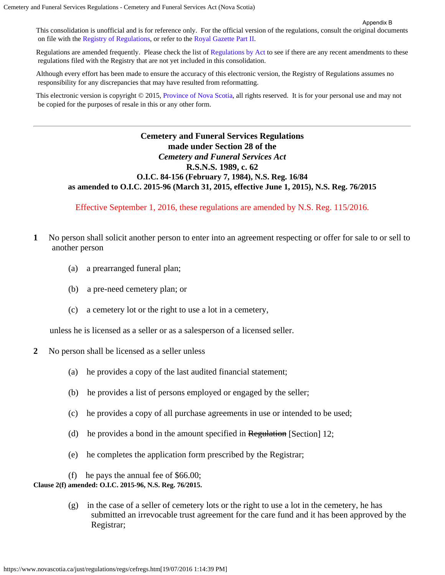This consolidation is unofficial and is for reference only. For the official version of the regulations, consult the original documents on file with the [Registry of Regulations](https://www.novascotia.ca/just/regulations/index.htm), or refer to the [Royal Gazette Part II.](https://www.novascotia.ca/just/regulations/rg2/index.htm)

Regulations are amended frequently. Please check the list of [Regulations by Act](https://www.novascotia.ca/just/regulations/rxaa-l.htm) to see if there are any recent amendments to these regulations filed with the Registry that are not yet included in this consolidation.

Although every effort has been made to ensure the accuracy of this electronic version, the Registry of Regulations assumes no responsibility for any discrepancies that may have resulted from reformatting.

This electronic version is copyright  $\odot$  2015, [Province of Nova Scotia](http://www.novascotia.ca/), all rights reserved. It is for your personal use and may not be copied for the purposes of resale in this or any other form.

# **Cemetery and Funeral Services Regulations made under Section 28 of the** *Cemetery and Funeral Services Act* **R.S.N.S. 1989, c. 62 O.I.C. 84-156 (February 7, 1984), N.S. Reg. 16/84 as amended to O.I.C. 2015-96 (March 31, 2015, effective June 1, 2015), N.S. Reg. 76/2015**

Effective September 1, 2016, these regulations are amended by N.S. Reg. 115/2016.

- **1** No person shall solicit another person to enter into an agreement respecting or offer for sale to or sell to another person
	- (a) a prearranged funeral plan;
	- (b) a pre-need cemetery plan; or
	- (c) a cemetery lot or the right to use a lot in a cemetery,

unless he is licensed as a seller or as a salesperson of a licensed seller.

- **2** No person shall be licensed as a seller unless
	- (a) he provides a copy of the last audited financial statement;
	- (b) he provides a list of persons employed or engaged by the seller;
	- (c) he provides a copy of all purchase agreements in use or intended to be used;
	- (d) he provides a bond in the amount specified in  $\mathbf{Regulation}$  [Section] 12;
	- (e) he completes the application form prescribed by the Registrar;
	- (f) he pays the annual fee of \$66.00;

**Clause 2(f) amended: O.I.C. 2015-96, N.S. Reg. 76/2015.**

 $(g)$  in the case of a seller of cemetery lots or the right to use a lot in the cemetery, he has submitted an irrevocable trust agreement for the care fund and it has been approved by the Registrar;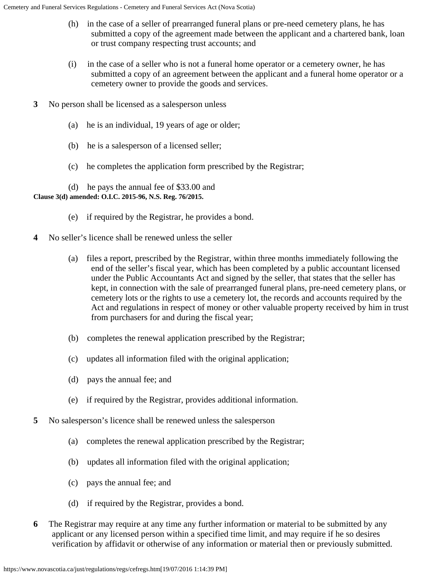- (h) in the case of a seller of prearranged funeral plans or pre-need cemetery plans, he has submitted a copy of the agreement made between the applicant and a chartered bank, loan or trust company respecting trust accounts; and
- (i) in the case of a seller who is not a funeral home operator or a cemetery owner, he has submitted a copy of an agreement between the applicant and a funeral home operator or a cemetery owner to provide the goods and services.
- **3** No person shall be licensed as a salesperson unless
	- (a) he is an individual, 19 years of age or older;
	- (b) he is a salesperson of a licensed seller;
	- (c) he completes the application form prescribed by the Registrar;

 (d) he pays the annual fee of \$33.00 and **Clause 3(d) amended: O.I.C. 2015-96, N.S. Reg. 76/2015.**

- (e) if required by the Registrar, he provides a bond.
- **4** No seller's licence shall be renewed unless the seller
	- (a) files a report, prescribed by the Registrar, within three months immediately following the end of the seller's fiscal year, which has been completed by a public accountant licensed under the Public Accountants Act and signed by the seller, that states that the seller has kept, in connection with the sale of prearranged funeral plans, pre-need cemetery plans, or cemetery lots or the rights to use a cemetery lot, the records and accounts required by the Act and regulations in respect of money or other valuable property received by him in trust from purchasers for and during the fiscal year;
	- (b) completes the renewal application prescribed by the Registrar;
	- (c) updates all information filed with the original application;
	- (d) pays the annual fee; and
	- (e) if required by the Registrar, provides additional information.
- **5** No salesperson's licence shall be renewed unless the salesperson
	- (a) completes the renewal application prescribed by the Registrar;
	- (b) updates all information filed with the original application;
	- (c) pays the annual fee; and
	- (d) if required by the Registrar, provides a bond.
- **6** The Registrar may require at any time any further information or material to be submitted by any applicant or any licensed person within a specified time limit, and may require if he so desires verification by affidavit or otherwise of any information or material then or previously submitted.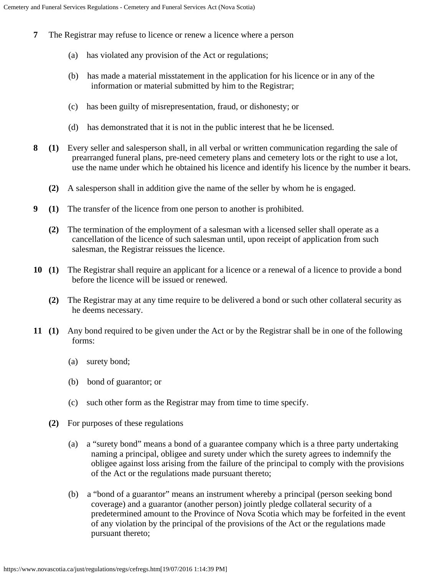- **7** The Registrar may refuse to licence or renew a licence where a person
	- (a) has violated any provision of the Act or regulations;
	- (b) has made a material misstatement in the application for his licence or in any of the information or material submitted by him to the Registrar;
	- (c) has been guilty of misrepresentation, fraud, or dishonesty; or
	- (d) has demonstrated that it is not in the public interest that he be licensed.
- **8 (1)** Every seller and salesperson shall, in all verbal or written communication regarding the sale of prearranged funeral plans, pre-need cemetery plans and cemetery lots or the right to use a lot, use the name under which he obtained his licence and identify his licence by the number it bears.
	- **(2)** A salesperson shall in addition give the name of the seller by whom he is engaged.
- **9 (1)** The transfer of the licence from one person to another is prohibited.
	- **(2)** The termination of the employment of a salesman with a licensed seller shall operate as a cancellation of the licence of such salesman until, upon receipt of application from such salesman, the Registrar reissues the licence.
- **10 (1)** The Registrar shall require an applicant for a licence or a renewal of a licence to provide a bond before the licence will be issued or renewed.
	- **(2)** The Registrar may at any time require to be delivered a bond or such other collateral security as he deems necessary.
- **11 (1)** Any bond required to be given under the Act or by the Registrar shall be in one of the following forms:
	- (a) surety bond;
	- (b) bond of guarantor; or
	- (c) such other form as the Registrar may from time to time specify.
	- **(2)** For purposes of these regulations
		- (a) a "surety bond" means a bond of a guarantee company which is a three party undertaking naming a principal, obligee and surety under which the surety agrees to indemnify the obligee against loss arising from the failure of the principal to comply with the provisions of the Act or the regulations made pursuant thereto;
		- (b) a "bond of a guarantor" means an instrument whereby a principal (person seeking bond coverage) and a guarantor (another person) jointly pledge collateral security of a predetermined amount to the Province of Nova Scotia which may be forfeited in the event of any violation by the principal of the provisions of the Act or the regulations made pursuant thereto;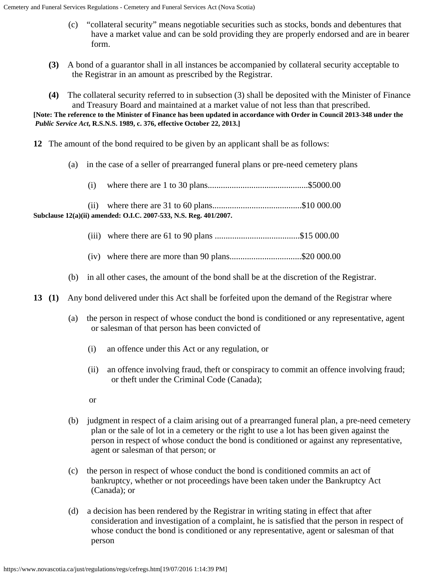- (c) "collateral security" means negotiable securities such as stocks, bonds and debentures that have a market value and can be sold providing they are properly endorsed and are in bearer form.
- **(3)** A bond of a guarantor shall in all instances be accompanied by collateral security acceptable to the Registrar in an amount as prescribed by the Registrar.
- **(4)** The collateral security referred to in subsection (3) shall be deposited with the Minister of Finance and Treasury Board and maintained at a market value of not less than that prescribed. **[Note: The reference to the Minister of Finance has been updated in accordance with Order in Council 2013-348 under the**  *Public Service Act***, R.S.N.S. 1989, c. 376, effective October 22, 2013.]**
- **12** The amount of the bond required to be given by an applicant shall be as follows:
	- (a) in the case of a seller of prearranged funeral plans or pre-need cemetery plans
		- (i) where there are 1 to 30 plans..............................................\$5000.00

 (ii) where there are 31 to 60 plans.........................................\$10 000.00 **Subclause 12(a)(ii) amended: O.I.C. 2007-533, N.S. Reg. 401/2007.**

- (iii) where there are 61 to 90 plans .......................................\$15 000.00
- (iv) where there are more than 90 plans.................................\$20 000.00
- (b) in all other cases, the amount of the bond shall be at the discretion of the Registrar.
- **13 (1)** Any bond delivered under this Act shall be forfeited upon the demand of the Registrar where
	- (a) the person in respect of whose conduct the bond is conditioned or any representative, agent or salesman of that person has been convicted of
		- (i) an offence under this Act or any regulation, or
		- (ii) an offence involving fraud, theft or conspiracy to commit an offence involving fraud; or theft under the Criminal Code (Canada);
		- or
	- (b) judgment in respect of a claim arising out of a prearranged funeral plan, a pre-need cemetery plan or the sale of lot in a cemetery or the right to use a lot has been given against the person in respect of whose conduct the bond is conditioned or against any representative, agent or salesman of that person; or
	- (c) the person in respect of whose conduct the bond is conditioned commits an act of bankruptcy, whether or not proceedings have been taken under the Bankruptcy Act (Canada); or
	- (d) a decision has been rendered by the Registrar in writing stating in effect that after consideration and investigation of a complaint, he is satisfied that the person in respect of whose conduct the bond is conditioned or any representative, agent or salesman of that person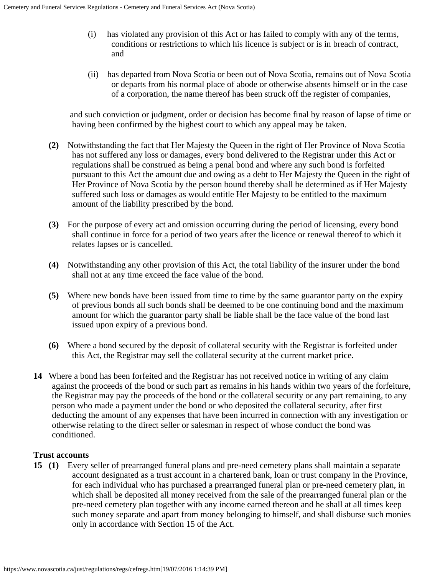- (i) has violated any provision of this Act or has failed to comply with any of the terms, conditions or restrictions to which his licence is subject or is in breach of contract, and
- (ii) has departed from Nova Scotia or been out of Nova Scotia, remains out of Nova Scotia or departs from his normal place of abode or otherwise absents himself or in the case of a corporation, the name thereof has been struck off the register of companies,

and such conviction or judgment, order or decision has become final by reason of lapse of time or having been confirmed by the highest court to which any appeal may be taken.

- **(2)** Notwithstanding the fact that Her Majesty the Queen in the right of Her Province of Nova Scotia has not suffered any loss or damages, every bond delivered to the Registrar under this Act or regulations shall be construed as being a penal bond and where any such bond is forfeited pursuant to this Act the amount due and owing as a debt to Her Majesty the Queen in the right of Her Province of Nova Scotia by the person bound thereby shall be determined as if Her Majesty suffered such loss or damages as would entitle Her Majesty to be entitled to the maximum amount of the liability prescribed by the bond.
- **(3)** For the purpose of every act and omission occurring during the period of licensing, every bond shall continue in force for a period of two years after the licence or renewal thereof to which it relates lapses or is cancelled.
- **(4)** Notwithstanding any other provision of this Act, the total liability of the insurer under the bond shall not at any time exceed the face value of the bond.
- **(5)** Where new bonds have been issued from time to time by the same guarantor party on the expiry of previous bonds all such bonds shall be deemed to be one continuing bond and the maximum amount for which the guarantor party shall be liable shall be the face value of the bond last issued upon expiry of a previous bond.
- **(6)** Where a bond secured by the deposit of collateral security with the Registrar is forfeited under this Act, the Registrar may sell the collateral security at the current market price.
- **14** Where a bond has been forfeited and the Registrar has not received notice in writing of any claim against the proceeds of the bond or such part as remains in his hands within two years of the forfeiture, the Registrar may pay the proceeds of the bond or the collateral security or any part remaining, to any person who made a payment under the bond or who deposited the collateral security, after first deducting the amount of any expenses that have been incurred in connection with any investigation or otherwise relating to the direct seller or salesman in respect of whose conduct the bond was conditioned.

### **Trust accounts**

**15 (1)** Every seller of prearranged funeral plans and pre-need cemetery plans shall maintain a separate account designated as a trust account in a chartered bank, loan or trust company in the Province, for each individual who has purchased a prearranged funeral plan or pre-need cemetery plan, in which shall be deposited all money received from the sale of the prearranged funeral plan or the pre-need cemetery plan together with any income earned thereon and he shall at all times keep such money separate and apart from money belonging to himself, and shall disburse such monies only in accordance with Section 15 of the Act.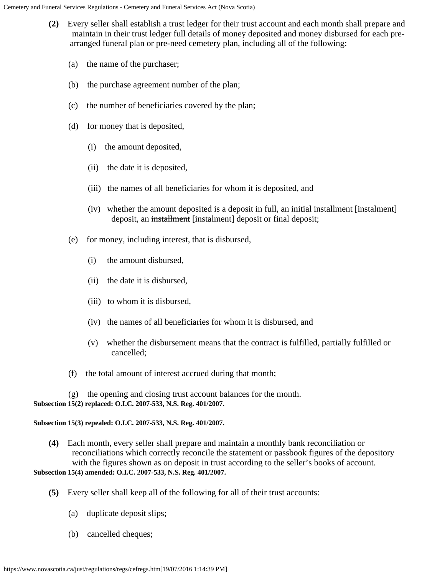- **(2)** Every seller shall establish a trust ledger for their trust account and each month shall prepare and maintain in their trust ledger full details of money deposited and money disbursed for each prearranged funeral plan or pre-need cemetery plan, including all of the following:
	- (a) the name of the purchaser;
	- (b) the purchase agreement number of the plan;
	- (c) the number of beneficiaries covered by the plan;
	- (d) for money that is deposited,
		- (i) the amount deposited,
		- (ii) the date it is deposited,
		- (iii) the names of all beneficiaries for whom it is deposited, and
		- (iv) whether the amount deposited is a deposit in full, an initial installment [instalment] deposit, an installment [instalment] deposit or final deposit;
	- (e) for money, including interest, that is disbursed,
		- (i) the amount disbursed,
		- (ii) the date it is disbursed,
		- (iii) to whom it is disbursed,
		- (iv) the names of all beneficiaries for whom it is disbursed, and
		- (v) whether the disbursement means that the contract is fulfilled, partially fulfilled or cancelled;
	- (f) the total amount of interest accrued during that month;

 (g) the opening and closing trust account balances for the month. **Subsection 15(2) replaced: O.I.C. 2007-533, N.S. Reg. 401/2007.**

### **Subsection 15(3) repealed: O.I.C. 2007-533, N.S. Reg. 401/2007.**

- **(4)** Each month, every seller shall prepare and maintain a monthly bank reconciliation or reconciliations which correctly reconcile the statement or passbook figures of the depository with the figures shown as on deposit in trust according to the seller's books of account. **Subsection 15(4) amended: O.I.C. 2007-533, N.S. Reg. 401/2007.**
	- **(5)** Every seller shall keep all of the following for all of their trust accounts:
		- (a) duplicate deposit slips;
		- (b) cancelled cheques;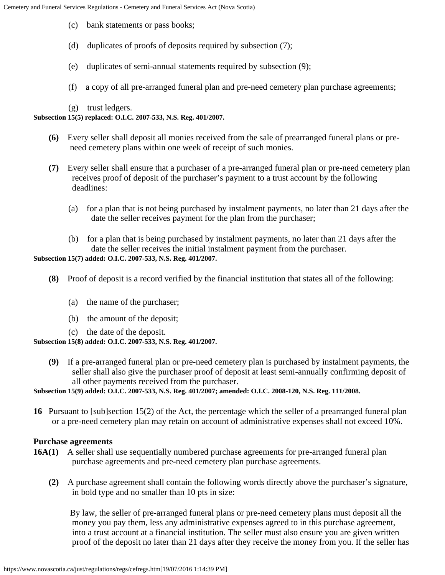- (c) bank statements or pass books;
- (d) duplicates of proofs of deposits required by subsection (7);
- (e) duplicates of semi-annual statements required by subsection (9);
- (f) a copy of all pre-arranged funeral plan and pre-need cemetery plan purchase agreements;

(g) trust ledgers.

### **Subsection 15(5) replaced: O.I.C. 2007-533, N.S. Reg. 401/2007.**

- **(6)** Every seller shall deposit all monies received from the sale of prearranged funeral plans or preneed cemetery plans within one week of receipt of such monies.
- **(7)** Every seller shall ensure that a purchaser of a pre-arranged funeral plan or pre-need cemetery plan receives proof of deposit of the purchaser's payment to a trust account by the following deadlines:
	- (a) for a plan that is not being purchased by instalment payments, no later than 21 days after the date the seller receives payment for the plan from the purchaser;
	- (b) for a plan that is being purchased by instalment payments, no later than 21 days after the date the seller receives the initial instalment payment from the purchaser.

### **Subsection 15(7) added: O.I.C. 2007-533, N.S. Reg. 401/2007.**

- **(8)** Proof of deposit is a record verified by the financial institution that states all of the following:
	- (a) the name of the purchaser;
	- (b) the amount of the deposit;
	- (c) the date of the deposit.

### **Subsection 15(8) added: O.I.C. 2007-533, N.S. Reg. 401/2007.**

 **(9)** If a pre-arranged funeral plan or pre-need cemetery plan is purchased by instalment payments, the seller shall also give the purchaser proof of deposit at least semi-annually confirming deposit of all other payments received from the purchaser.

### **Subsection 15(9) added: O.I.C. 2007-533, N.S. Reg. 401/2007; amended: O.I.C. 2008-120, N.S. Reg. 111/2008.**

**16** Pursuant to [sub]section 15(2) of the Act, the percentage which the seller of a prearranged funeral plan or a pre-need cemetery plan may retain on account of administrative expenses shall not exceed 10%.

### **Purchase agreements**

- **16A(1)** A seller shall use sequentially numbered purchase agreements for pre-arranged funeral plan purchase agreements and pre-need cemetery plan purchase agreements.
	- **(2)** A purchase agreement shall contain the following words directly above the purchaser's signature, in bold type and no smaller than 10 pts in size:

By law, the seller of pre-arranged funeral plans or pre-need cemetery plans must deposit all the money you pay them, less any administrative expenses agreed to in this purchase agreement, into a trust account at a financial institution. The seller must also ensure you are given written proof of the deposit no later than 21 days after they receive the money from you. If the seller has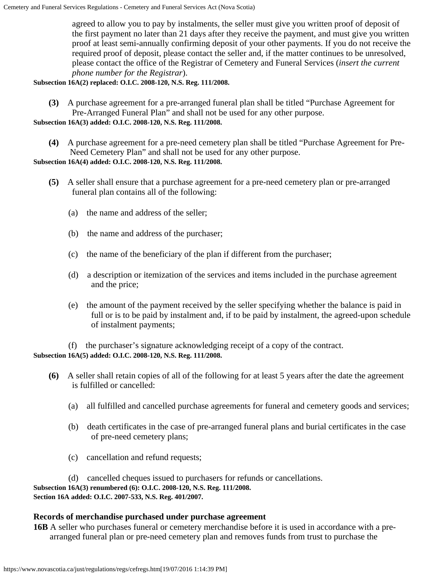agreed to allow you to pay by instalments, the seller must give you written proof of deposit of the first payment no later than 21 days after they receive the payment, and must give you written proof at least semi-annually confirming deposit of your other payments. If you do not receive the required proof of deposit, please contact the seller and, if the matter continues to be unresolved, please contact the office of the Registrar of Cemetery and Funeral Services (*insert the current phone number for the Registrar*).

**Subsection 16A(2) replaced: O.I.C. 2008-120, N.S. Reg. 111/2008.**

 **(3)** A purchase agreement for a pre-arranged funeral plan shall be titled "Purchase Agreement for Pre-Arranged Funeral Plan" and shall not be used for any other purpose.

**Subsection 16A(3) added: O.I.C. 2008-120, N.S. Reg. 111/2008.**

 **(4)** A purchase agreement for a pre-need cemetery plan shall be titled "Purchase Agreement for Pre-Need Cemetery Plan" and shall not be used for any other purpose.

**Subsection 16A(4) added: O.I.C. 2008-120, N.S. Reg. 111/2008.**

- **(5)** A seller shall ensure that a purchase agreement for a pre-need cemetery plan or pre-arranged funeral plan contains all of the following:
	- (a) the name and address of the seller;
	- (b) the name and address of the purchaser;
	- (c) the name of the beneficiary of the plan if different from the purchaser;
	- (d) a description or itemization of the services and items included in the purchase agreement and the price;
	- (e) the amount of the payment received by the seller specifying whether the balance is paid in full or is to be paid by instalment and, if to be paid by instalment, the agreed-upon schedule of instalment payments;

(f) the purchaser's signature acknowledging receipt of a copy of the contract.

### **Subsection 16A(5) added: O.I.C. 2008-120, N.S. Reg. 111/2008.**

- **(6)** A seller shall retain copies of all of the following for at least 5 years after the date the agreement is fulfilled or cancelled:
	- (a) all fulfilled and cancelled purchase agreements for funeral and cemetery goods and services;
	- (b) death certificates in the case of pre-arranged funeral plans and burial certificates in the case of pre-need cemetery plans;
	- (c) cancellation and refund requests;

 (d) cancelled cheques issued to purchasers for refunds or cancellations. **Subsection 16A(3) renumbered (6): O.I.C. 2008-120, N.S. Reg. 111/2008. Section 16A added: O.I.C. 2007-533, N.S. Reg. 401/2007.**

### **Records of merchandise purchased under purchase agreement**

**16B** A seller who purchases funeral or cemetery merchandise before it is used in accordance with a prearranged funeral plan or pre-need cemetery plan and removes funds from trust to purchase the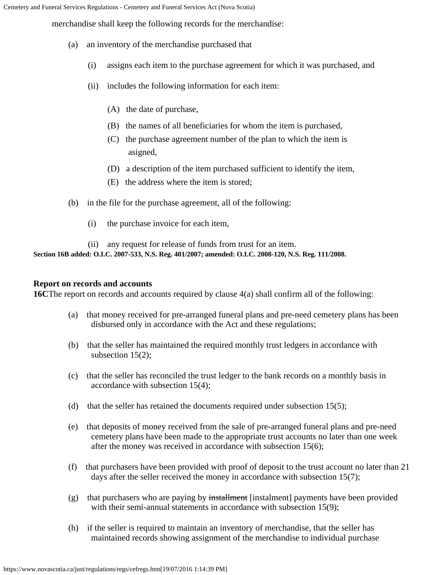Cemetery and Funeral Services Regulations - Cemetery and Funeral Services Act (Nova Scotia)

merchandise shall keep the following records for the merchandise:

- (a) an inventory of the merchandise purchased that
	- (i) assigns each item to the purchase agreement for which it was purchased, and
	- (ii) includes the following information for each item:
		- (A) the date of purchase,
		- (B) the names of all beneficiaries for whom the item is purchased,
		- (C) the purchase agreement number of the plan to which the item is asigned,
		- (D) a description of the item purchased sufficient to identify the item,
		- (E) the address where the item is stored;
- (b) in the file for the purchase agreement, all of the following:
	- (i) the purchase invoice for each item,

 (ii) any request for release of funds from trust for an item. **Section 16B added: O.I.C. 2007-533, N.S. Reg. 401/2007; amended: O.I.C. 2008-120, N.S. Reg. 111/2008.**

### **Report on records and accounts**

**16C**The report on records and accounts required by clause 4(a) shall confirm all of the following:

- (a) that money received for pre-arranged funeral plans and pre-need cemetery plans has been disbursed only in accordance with the Act and these regulations;
- (b) that the seller has maintained the required monthly trust ledgers in accordance with subsection 15(2);
- (c) that the seller has reconciled the trust ledger to the bank records on a monthly basis in accordance with subsection 15(4);
- (d) that the seller has retained the documents required under subsection  $15(5)$ ;
- (e) that deposits of money received from the sale of pre-arranged funeral plans and pre-need cemetery plans have been made to the appropriate trust accounts no later than one week after the money was received in accordance with subsection 15(6);
- (f) that purchasers have been provided with proof of deposit to the trust account no later than 21 days after the seller received the money in accordance with subsection 15(7);
- (g) that purchasers who are paying by installment [instalment] payments have been provided with their semi-annual statements in accordance with subsection 15(9);
- (h) if the seller is required to maintain an inventory of merchandise, that the seller has maintained records showing assignment of the merchandise to individual purchase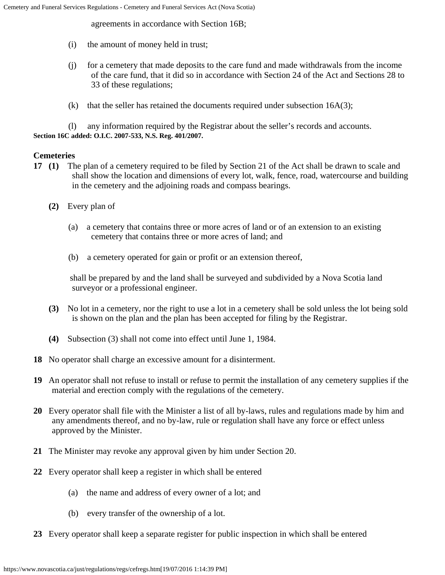agreements in accordance with Section 16B;

- (i) the amount of money held in trust;
- (j) for a cemetery that made deposits to the care fund and made withdrawals from the income of the care fund, that it did so in accordance with Section 24 of the Act and Sections 28 to 33 of these regulations;
- (k) that the seller has retained the documents required under subsection  $16A(3)$ ;

 (l) any information required by the Registrar about the seller's records and accounts. **Section 16C added: O.I.C. 2007-533, N.S. Reg. 401/2007.**

# **Cemeteries**

- **17 (1)** The plan of a cemetery required to be filed by Section 21 of the Act shall be drawn to scale and shall show the location and dimensions of every lot, walk, fence, road, watercourse and building in the cemetery and the adjoining roads and compass bearings.
	- **(2)** Every plan of
		- (a) a cemetery that contains three or more acres of land or of an extension to an existing cemetery that contains three or more acres of land; and
		- (b) a cemetery operated for gain or profit or an extension thereof,

shall be prepared by and the land shall be surveyed and subdivided by a Nova Scotia land surveyor or a professional engineer.

- **(3)** No lot in a cemetery, nor the right to use a lot in a cemetery shall be sold unless the lot being sold is shown on the plan and the plan has been accepted for filing by the Registrar.
- **(4)** Subsection (3) shall not come into effect until June 1, 1984.
- **18** No operator shall charge an excessive amount for a disinterment.
- **19** An operator shall not refuse to install or refuse to permit the installation of any cemetery supplies if the material and erection comply with the regulations of the cemetery.
- **20** Every operator shall file with the Minister a list of all by-laws, rules and regulations made by him and any amendments thereof, and no by-law, rule or regulation shall have any force or effect unless approved by the Minister.
- **21** The Minister may revoke any approval given by him under Section 20.
- **22** Every operator shall keep a register in which shall be entered
	- (a) the name and address of every owner of a lot; and
	- (b) every transfer of the ownership of a lot.
- **23** Every operator shall keep a separate register for public inspection in which shall be entered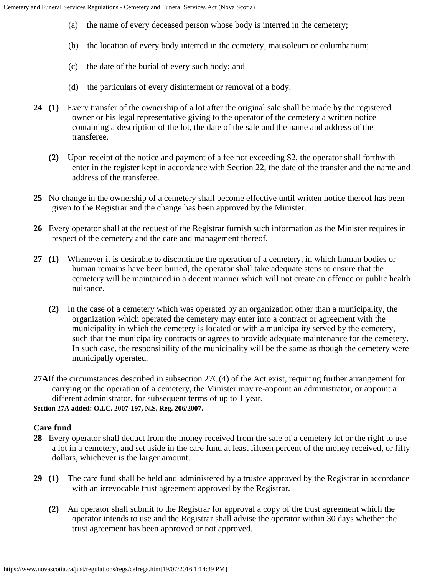- (a) the name of every deceased person whose body is interred in the cemetery;
- (b) the location of every body interred in the cemetery, mausoleum or columbarium;
- (c) the date of the burial of every such body; and
- (d) the particulars of every disinterment or removal of a body.
- **24 (1)** Every transfer of the ownership of a lot after the original sale shall be made by the registered owner or his legal representative giving to the operator of the cemetery a written notice containing a description of the lot, the date of the sale and the name and address of the transferee.
	- **(2)** Upon receipt of the notice and payment of a fee not exceeding \$2, the operator shall forthwith enter in the register kept in accordance with Section 22, the date of the transfer and the name and address of the transferee.
- **25** No change in the ownership of a cemetery shall become effective until written notice thereof has been given to the Registrar and the change has been approved by the Minister.
- **26** Every operator shall at the request of the Registrar furnish such information as the Minister requires in respect of the cemetery and the care and management thereof.
- **27 (1)** Whenever it is desirable to discontinue the operation of a cemetery, in which human bodies or human remains have been buried, the operator shall take adequate steps to ensure that the cemetery will be maintained in a decent manner which will not create an offence or public health nuisance.
	- **(2)** In the case of a cemetery which was operated by an organization other than a municipality, the organization which operated the cemetery may enter into a contract or agreement with the municipality in which the cemetery is located or with a municipality served by the cemetery, such that the municipality contracts or agrees to provide adequate maintenance for the cemetery. In such case, the responsibility of the municipality will be the same as though the cemetery were municipally operated.
- **27A**If the circumstances described in subsection 27C(4) of the Act exist, requiring further arrangement for carrying on the operation of a cemetery, the Minister may re-appoint an administrator, or appoint a different administrator, for subsequent terms of up to 1 year. **Section 27A added: O.I.C. 2007-197, N.S. Reg. 206/2007.**

# **Care fund**

- **28** Every operator shall deduct from the money received from the sale of a cemetery lot or the right to use a lot in a cemetery, and set aside in the care fund at least fifteen percent of the money received, or fifty dollars, whichever is the larger amount.
- **29 (1)** The care fund shall be held and administered by a trustee approved by the Registrar in accordance with an irrevocable trust agreement approved by the Registrar.
	- **(2)** An operator shall submit to the Registrar for approval a copy of the trust agreement which the operator intends to use and the Registrar shall advise the operator within 30 days whether the trust agreement has been approved or not approved.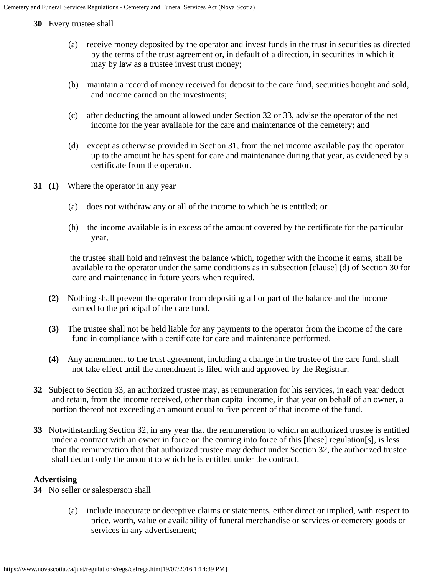**30** Every trustee shall

- (a) receive money deposited by the operator and invest funds in the trust in securities as directed by the terms of the trust agreement or, in default of a direction, in securities in which it may by law as a trustee invest trust money;
- (b) maintain a record of money received for deposit to the care fund, securities bought and sold, and income earned on the investments;
- (c) after deducting the amount allowed under Section 32 or 33, advise the operator of the net income for the year available for the care and maintenance of the cemetery; and
- (d) except as otherwise provided in Section 31, from the net income available pay the operator up to the amount he has spent for care and maintenance during that year, as evidenced by a certificate from the operator.
- **31 (1)** Where the operator in any year
	- (a) does not withdraw any or all of the income to which he is entitled; or
	- (b) the income available is in excess of the amount covered by the certificate for the particular year,

the trustee shall hold and reinvest the balance which, together with the income it earns, shall be available to the operator under the same conditions as in subsection [clause] (d) of Section 30 for care and maintenance in future years when required.

- **(2)** Nothing shall prevent the operator from depositing all or part of the balance and the income earned to the principal of the care fund.
- **(3)** The trustee shall not be held liable for any payments to the operator from the income of the care fund in compliance with a certificate for care and maintenance performed.
- **(4)** Any amendment to the trust agreement, including a change in the trustee of the care fund, shall not take effect until the amendment is filed with and approved by the Registrar.
- **32** Subject to Section 33, an authorized trustee may, as remuneration for his services, in each year deduct and retain, from the income received, other than capital income, in that year on behalf of an owner, a portion thereof not exceeding an amount equal to five percent of that income of the fund.
- **33** Notwithstanding Section 32, in any year that the remuneration to which an authorized trustee is entitled under a contract with an owner in force on the coming into force of  $\frac{1}{10}$  [these] regulation[s], is less than the remuneration that that authorized trustee may deduct under Section 32, the authorized trustee shall deduct only the amount to which he is entitled under the contract.

# **Advertising**

**34** No seller or salesperson shall

 (a) include inaccurate or deceptive claims or statements, either direct or implied, with respect to price, worth, value or availability of funeral merchandise or services or cemetery goods or services in any advertisement;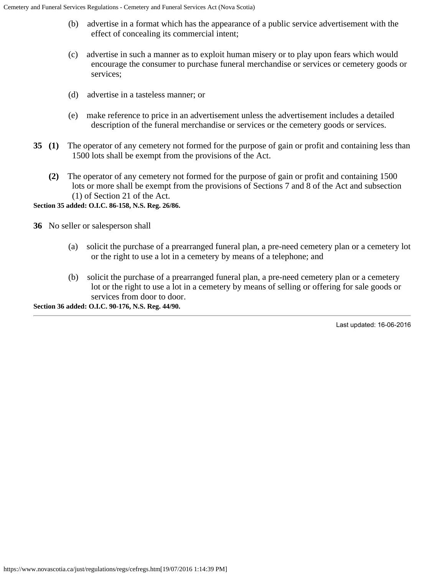- (b) advertise in a format which has the appearance of a public service advertisement with the effect of concealing its commercial intent;
- (c) advertise in such a manner as to exploit human misery or to play upon fears which would encourage the consumer to purchase funeral merchandise or services or cemetery goods or services;
- (d) advertise in a tasteless manner; or
- (e) make reference to price in an advertisement unless the advertisement includes a detailed description of the funeral merchandise or services or the cemetery goods or services.
- **35 (1)** The operator of any cemetery not formed for the purpose of gain or profit and containing less than 1500 lots shall be exempt from the provisions of the Act.
	- **(2)** The operator of any cemetery not formed for the purpose of gain or profit and containing 1500 lots or more shall be exempt from the provisions of Sections 7 and 8 of the Act and subsection (1) of Section 21 of the Act.

**Section 35 added: O.I.C. 86-158, N.S. Reg. 26/86.**

**36** No seller or salesperson shall

- (a) solicit the purchase of a prearranged funeral plan, a pre-need cemetery plan or a cemetery lot or the right to use a lot in a cemetery by means of a telephone; and
- (b) solicit the purchase of a prearranged funeral plan, a pre-need cemetery plan or a cemetery lot or the right to use a lot in a cemetery by means of selling or offering for sale goods or services from door to door.

**Section 36 added: O.I.C. 90-176, N.S. Reg. 44/90.**

Last updated: 16-06-2016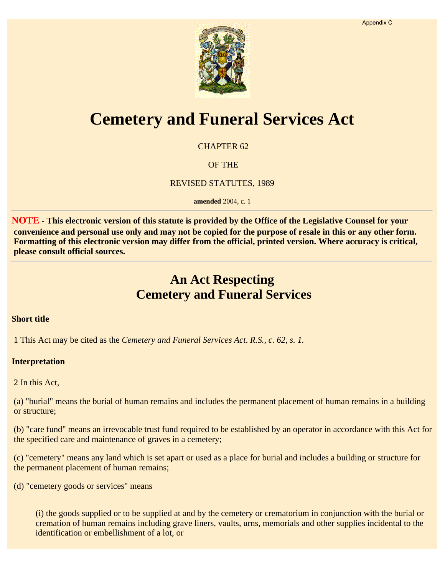

# **Cemetery and Funeral Services Act**

CHAPTER 62

OF THE

REVISED STATUTES, 1989

**amended** 2004, c. 1

**NOTE - This electronic version of this statute is provided by the Office of the Legislative Counsel for your convenience and personal use only and may not be copied for the purpose of resale in this or any other form. Formatting of this electronic version may differ from the official, printed version. Where accuracy is critical, please consult official sources.**

# **An Act Respecting Cemetery and Funeral Services**

### **Short title**

1 This Act may be cited as the *Cemetery and Funeral Services Act*. *R.S., c. 62, s. 1.*

### **Interpretation**

2 In this Act,

(a) "burial" means the burial of human remains and includes the permanent placement of human remains in a building or structure;

(b) "care fund" means an irrevocable trust fund required to be established by an operator in accordance with this Act for the specified care and maintenance of graves in a cemetery;

(c) "cemetery" means any land which is set apart or used as a place for burial and includes a building or structure for the permanent placement of human remains;

(d) "cemetery goods or services" means

(i) the goods supplied or to be supplied at and by the cemetery or crematorium in conjunction with the burial or cremation of human remains including grave liners, vaults, urns, memorials and other supplies incidental to the identification or embellishment of a lot, or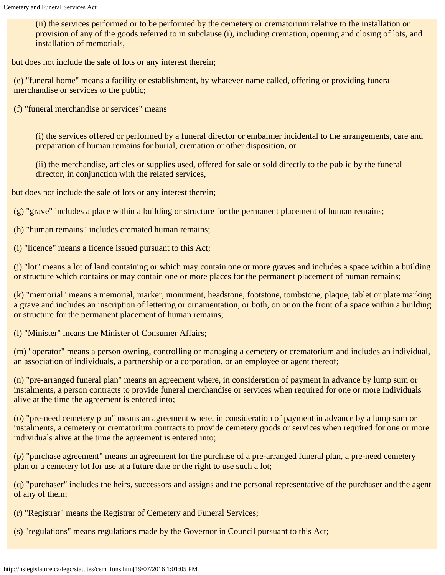(ii) the services performed or to be performed by the cemetery or crematorium relative to the installation or provision of any of the goods referred to in subclause (i), including cremation, opening and closing of lots, and installation of memorials,

but does not include the sale of lots or any interest therein;

(e) "funeral home" means a facility or establishment, by whatever name called, offering or providing funeral merchandise or services to the public;

(f) "funeral merchandise or services" means

(i) the services offered or performed by a funeral director or embalmer incidental to the arrangements, care and preparation of human remains for burial, cremation or other disposition, or

(ii) the merchandise, articles or supplies used, offered for sale or sold directly to the public by the funeral director, in conjunction with the related services,

but does not include the sale of lots or any interest therein;

(g) "grave" includes a place within a building or structure for the permanent placement of human remains;

(h) "human remains" includes cremated human remains;

(i) "licence" means a licence issued pursuant to this Act;

(j) "lot" means a lot of land containing or which may contain one or more graves and includes a space within a building or structure which contains or may contain one or more places for the permanent placement of human remains;

(k) "memorial" means a memorial, marker, monument, headstone, footstone, tombstone, plaque, tablet or plate marking a grave and includes an inscription of lettering or ornamentation, or both, on or on the front of a space within a building or structure for the permanent placement of human remains;

(l) "Minister" means the Minister of Consumer Affairs;

(m) "operator" means a person owning, controlling or managing a cemetery or crematorium and includes an individual, an association of individuals, a partnership or a corporation, or an employee or agent thereof;

(n) "pre-arranged funeral plan" means an agreement where, in consideration of payment in advance by lump sum or instalments, a person contracts to provide funeral merchandise or services when required for one or more individuals alive at the time the agreement is entered into;

(o) "pre-need cemetery plan" means an agreement where, in consideration of payment in advance by a lump sum or instalments, a cemetery or crematorium contracts to provide cemetery goods or services when required for one or more individuals alive at the time the agreement is entered into;

(p) "purchase agreement" means an agreement for the purchase of a pre-arranged funeral plan, a pre-need cemetery plan or a cemetery lot for use at a future date or the right to use such a lot;

(q) "purchaser" includes the heirs, successors and assigns and the personal representative of the purchaser and the agent of any of them;

(r) "Registrar" means the Registrar of Cemetery and Funeral Services;

(s) "regulations" means regulations made by the Governor in Council pursuant to this Act;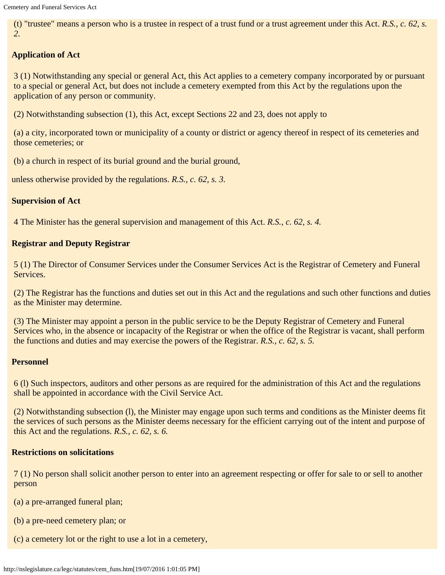(t) "trustee" means a person who is a trustee in respect of a trust fund or a trust agreement under this Act. *R.S., c. 62, s. 2.*

# **Application of Act**

3 (1) Notwithstanding any special or general Act, this Act applies to a cemetery company incorporated by or pursuant to a special or general Act, but does not include a cemetery exempted from this Act by the regulations upon the application of any person or community.

(2) Notwithstanding subsection (1), this Act, except Sections 22 and 23, does not apply to

(a) a city, incorporated town or municipality of a county or district or agency thereof in respect of its cemeteries and those cemeteries; or

(b) a church in respect of its burial ground and the burial ground,

unless otherwise provided by the regulations. *R.S., c. 62, s. 3.*

# **Supervision of Act**

4 The Minister has the general supervision and management of this Act. *R.S., c. 62, s. 4.*

# **Registrar and Deputy Registrar**

5 (1) The Director of Consumer Services under the Consumer Services Act is the Registrar of Cemetery and Funeral Services.

(2) The Registrar has the functions and duties set out in this Act and the regulations and such other functions and duties as the Minister may determine.

(3) The Minister may appoint a person in the public service to be the Deputy Registrar of Cemetery and Funeral Services who, in the absence or incapacity of the Registrar or when the office of the Registrar is vacant, shall perform the functions and duties and may exercise the powers of the Registrar. *R.S., c. 62, s. 5.*

### **Personnel**

6 (l) Such inspectors, auditors and other persons as are required for the administration of this Act and the regulations shall be appointed in accordance with the Civil Service Act.

(2) Notwithstanding subsection (l), the Minister may engage upon such terms and conditions as the Minister deems fit the services of such persons as the Minister deems necessary for the efficient carrying out of the intent and purpose of this Act and the regulations. *R.S., c. 62, s. 6.*

# **Restrictions on solicitations**

7 (1) No person shall solicit another person to enter into an agreement respecting or offer for sale to or sell to another person

- (a) a pre-arranged funeral plan;
- (b) a pre-need cemetery plan; or
- (c) a cemetery lot or the right to use a lot in a cemetery,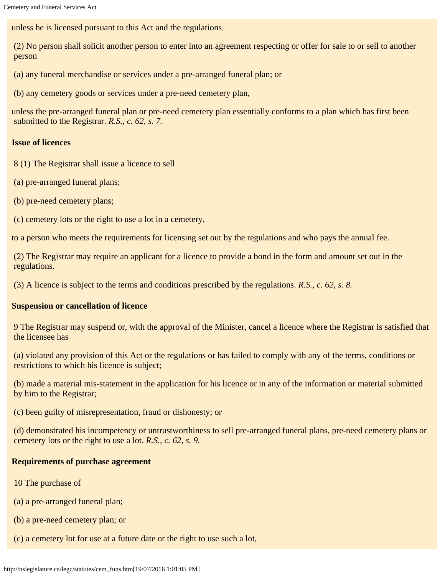unless he is licensed pursuant to this Act and the regulations.

(2) No person shall solicit another person to enter into an agreement respecting or offer for sale to or sell to another person

(a) any funeral merchandise or services under a pre-arranged funeral plan; or

(b) any cemetery goods or services under a pre-need cemetery plan,

unless the pre-arranged funeral plan or pre-need cemetery plan essentially conforms to a plan which has first been submitted to the Registrar. *R.S., c. 62, s. 7.*

# **Issue of licences**

8 (1) The Registrar shall issue a licence to sell

- (a) pre-arranged funeral plans;
- (b) pre-need cemetery plans;
- (c) cemetery lots or the right to use a lot in a cemetery,

to a person who meets the requirements for licensing set out by the regulations and who pays the annual fee.

(2) The Registrar may require an applicant for a licence to provide a bond in the form and amount set out in the regulations.

(3) A licence is subject to the terms and conditions prescribed by the regulations. *R.S., c. 62, s. 8.*

# **Suspension or cancellation of licence**

9 The Registrar may suspend or, with the approval of the Minister, cancel a licence where the Registrar is satisfied that the licensee has

(a) violated any provision of this Act or the regulations or has failed to comply with any of the terms, conditions or restrictions to which his licence is subject;

(b) made a material mis-statement in the application for his licence or in any of the information or material submitted by him to the Registrar;

(c) been guilty of misrepresentation, fraud or dishonesty; or

(d) demonstrated his incompetency or untrustworthiness to sell pre-arranged funeral plans, pre-need cemetery plans or cemetery lots or the right to use a lot. *R.S., c. 62, s. 9.*

# **Requirements of purchase agreement**

- 10 The purchase of
- (a) a pre-arranged funeral plan;
- (b) a pre-need cemetery plan; or
- (c) a cemetery lot for use at a future date or the right to use such a lot,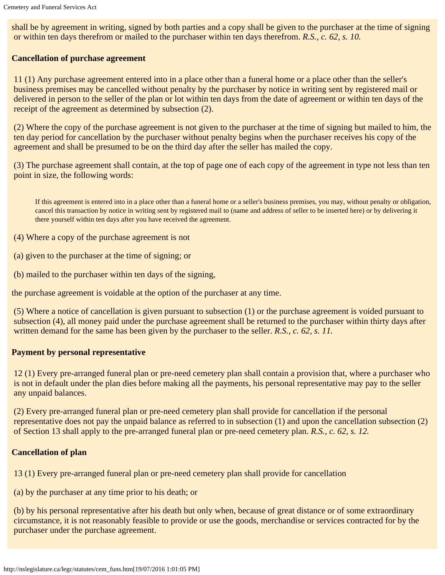shall be by agreement in writing, signed by both parties and a copy shall be given to the purchaser at the time of signing or within ten days therefrom or mailed to the purchaser within ten days therefrom. *R.S., c. 62, s. 10.*

# **Cancellation of purchase agreement**

11 (1) Any purchase agreement entered into in a place other than a funeral home or a place other than the seller's business premises may be cancelled without penalty by the purchaser by notice in writing sent by registered mail or delivered in person to the seller of the plan or lot within ten days from the date of agreement or within ten days of the receipt of the agreement as determined by subsection (2).

(2) Where the copy of the purchase agreement is not given to the purchaser at the time of signing but mailed to him, the ten day period for cancellation by the purchaser without penalty begins when the purchaser receives his copy of the agreement and shall be presumed to be on the third day after the seller has mailed the copy.

(3) The purchase agreement shall contain, at the top of page one of each copy of the agreement in type not less than ten point in size, the following words:

If this agreement is entered into in a place other than a funeral home or a seller's business premises, you may, without penalty or obligation, cancel this transaction by notice in writing sent by registered mail to (name and address of seller to be inserted here) or by delivering it there yourself within ten days after you have received the agreement.

(4) Where a copy of the purchase agreement is not

(a) given to the purchaser at the time of signing; or

(b) mailed to the purchaser within ten days of the signing,

the purchase agreement is voidable at the option of the purchaser at any time.

(5) Where a notice of cancellation is given pursuant to subsection (1) or the purchase agreement is voided pursuant to subsection (4), all money paid under the purchase agreement shall be returned to the purchaser within thirty days after written demand for the same has been given by the purchaser to the seller. *R.S., c. 62, s. 11.* 

### **Payment by personal representative**

12 (1) Every pre-arranged funeral plan or pre-need cemetery plan shall contain a provision that, where a purchaser who is not in default under the plan dies before making all the payments, his personal representative may pay to the seller any unpaid balances.

(2) Every pre-arranged funeral plan or pre-need cemetery plan shall provide for cancellation if the personal representative does not pay the unpaid balance as referred to in subsection (1) and upon the cancellation subsection (2) of Section 13 shall apply to the pre-arranged funeral plan or pre-need cemetery plan. *R.S., c. 62, s. 12.*

### **Cancellation of plan**

13 (1) Every pre-arranged funeral plan or pre-need cemetery plan shall provide for cancellation

(a) by the purchaser at any time prior to his death; or

(b) by his personal representative after his death but only when, because of great distance or of some extraordinary circumstance, it is not reasonably feasible to provide or use the goods, merchandise or services contracted for by the purchaser under the purchase agreement.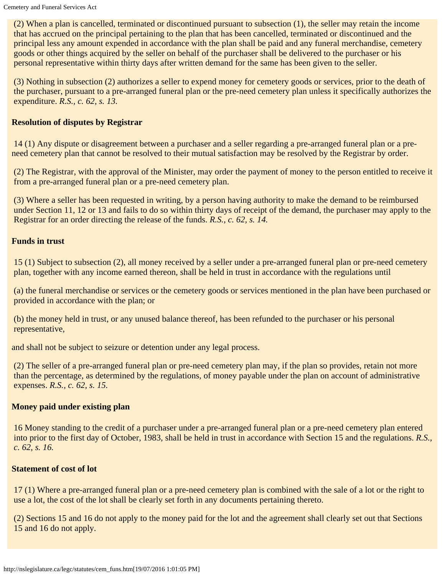(2) When a plan is cancelled, terminated or discontinued pursuant to subsection (1), the seller may retain the income that has accrued on the principal pertaining to the plan that has been cancelled, terminated or discontinued and the principal less any amount expended in accordance with the plan shall be paid and any funeral merchandise, cemetery goods or other things acquired by the seller on behalf of the purchaser shall be delivered to the purchaser or his personal representative within thirty days after written demand for the same has been given to the seller.

(3) Nothing in subsection (2) authorizes a seller to expend money for cemetery goods or services, prior to the death of the purchaser, pursuant to a pre-arranged funeral plan or the pre-need cemetery plan unless it specifically authorizes the expenditure. *R.S., c. 62, s. 13.*

# **Resolution of disputes by Registrar**

14 (1) Any dispute or disagreement between a purchaser and a seller regarding a pre-arranged funeral plan or a preneed cemetery plan that cannot be resolved to their mutual satisfaction may be resolved by the Registrar by order.

(2) The Registrar, with the approval of the Minister, may order the payment of money to the person entitled to receive it from a pre-arranged funeral plan or a pre-need cemetery plan.

(3) Where a seller has been requested in writing, by a person having authority to make the demand to be reimbursed under Section 11, 12 or 13 and fails to do so within thirty days of receipt of the demand, the purchaser may apply to the Registrar for an order directing the release of the funds. *R.S., c. 62, s. 14.*

### **Funds in trust**

15 (1) Subject to subsection (2), all money received by a seller under a pre-arranged funeral plan or pre-need cemetery plan, together with any income earned thereon, shall be held in trust in accordance with the regulations until

(a) the funeral merchandise or services or the cemetery goods or services mentioned in the plan have been purchased or provided in accordance with the plan; or

(b) the money held in trust, or any unused balance thereof, has been refunded to the purchaser or his personal representative,

and shall not be subject to seizure or detention under any legal process.

(2) The seller of a pre-arranged funeral plan or pre-need cemetery plan may, if the plan so provides, retain not more than the percentage, as determined by the regulations, of money payable under the plan on account of administrative expenses. *R.S., c. 62, s. 15.*

# **Money paid under existing plan**

16 Money standing to the credit of a purchaser under a pre-arranged funeral plan or a pre-need cemetery plan entered into prior to the first day of October, 1983, shall be held in trust in accordance with Section 15 and the regulations. *R.S., c. 62, s. 16.*

### **Statement of cost of lot**

17 (1) Where a pre-arranged funeral plan or a pre-need cemetery plan is combined with the sale of a lot or the right to use a lot, the cost of the lot shall be clearly set forth in any documents pertaining thereto.

(2) Sections 15 and 16 do not apply to the money paid for the lot and the agreement shall clearly set out that Sections 15 and 16 do not apply.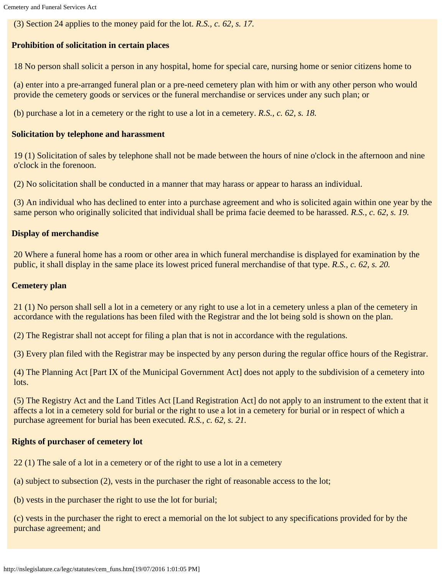(3) Section 24 applies to the money paid for the lot. *R.S., c. 62, s. 17.*

# **Prohibition of solicitation in certain places**

18 No person shall solicit a person in any hospital, home for special care, nursing home or senior citizens home to

(a) enter into a pre-arranged funeral plan or a pre-need cemetery plan with him or with any other person who would provide the cemetery goods or services or the funeral merchandise or services under any such plan; or

(b) purchase a lot in a cemetery or the right to use a lot in a cemetery. *R.S., c. 62, s. 18.*

# **Solicitation by telephone and harassment**

19 (1) Solicitation of sales by telephone shall not be made between the hours of nine o'clock in the afternoon and nine o'clock in the forenoon.

(2) No solicitation shall be conducted in a manner that may harass or appear to harass an individual.

(3) An individual who has declined to enter into a purchase agreement and who is solicited again within one year by the same person who originally solicited that individual shall be prima facie deemed to be harassed. *R.S., c. 62, s. 19.*

# **Display of merchandise**

20 Where a funeral home has a room or other area in which funeral merchandise is displayed for examination by the public, it shall display in the same place its lowest priced funeral merchandise of that type. *R.S., c. 62, s. 20.*

# **Cemetery plan**

21 (1) No person shall sell a lot in a cemetery or any right to use a lot in a cemetery unless a plan of the cemetery in accordance with the regulations has been filed with the Registrar and the lot being sold is shown on the plan.

(2) The Registrar shall not accept for filing a plan that is not in accordance with the regulations.

(3) Every plan filed with the Registrar may be inspected by any person during the regular office hours of the Registrar.

(4) The Planning Act [Part IX of the Municipal Government Act] does not apply to the subdivision of a cemetery into lots.

(5) The Registry Act and the Land Titles Act [Land Registration Act] do not apply to an instrument to the extent that it affects a lot in a cemetery sold for burial or the right to use a lot in a cemetery for burial or in respect of which a purchase agreement for burial has been executed. *R.S., c. 62, s. 21.*

### **Rights of purchaser of cemetery lot**

- 22 (1) The sale of a lot in a cemetery or of the right to use a lot in a cemetery
- (a) subject to subsection (2), vests in the purchaser the right of reasonable access to the lot;
- (b) vests in the purchaser the right to use the lot for burial;

(c) vests in the purchaser the right to erect a memorial on the lot subject to any specifications provided for by the purchase agreement; and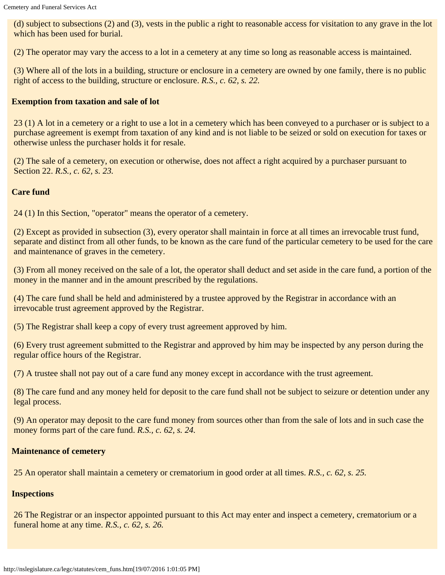(d) subject to subsections (2) and (3), vests in the public a right to reasonable access for visitation to any grave in the lot which has been used for burial.

(2) The operator may vary the access to a lot in a cemetery at any time so long as reasonable access is maintained.

(3) Where all of the lots in a building, structure or enclosure in a cemetery are owned by one family, there is no public right of access to the building, structure or enclosure. *R.S., c. 62, s. 22.*

# **Exemption from taxation and sale of lot**

23 (1) A lot in a cemetery or a right to use a lot in a cemetery which has been conveyed to a purchaser or is subject to a purchase agreement is exempt from taxation of any kind and is not liable to be seized or sold on execution for taxes or otherwise unless the purchaser holds it for resale.

(2) The sale of a cemetery, on execution or otherwise, does not affect a right acquired by a purchaser pursuant to Section 22. *R.S., c. 62, s. 23.*

# **Care fund**

24 (1) In this Section, "operator" means the operator of a cemetery.

(2) Except as provided in subsection (3), every operator shall maintain in force at all times an irrevocable trust fund, separate and distinct from all other funds, to be known as the care fund of the particular cemetery to be used for the care and maintenance of graves in the cemetery.

(3) From all money received on the sale of a lot, the operator shall deduct and set aside in the care fund, a portion of the money in the manner and in the amount prescribed by the regulations.

(4) The care fund shall be held and administered by a trustee approved by the Registrar in accordance with an irrevocable trust agreement approved by the Registrar.

(5) The Registrar shall keep a copy of every trust agreement approved by him.

(6) Every trust agreement submitted to the Registrar and approved by him may be inspected by any person during the regular office hours of the Registrar.

(7) A trustee shall not pay out of a care fund any money except in accordance with the trust agreement.

(8) The care fund and any money held for deposit to the care fund shall not be subject to seizure or detention under any legal process.

(9) An operator may deposit to the care fund money from sources other than from the sale of lots and in such case the money forms part of the care fund. *R.S., c. 62, s. 24.*

### **Maintenance of cemetery**

25 An operator shall maintain a cemetery or crematorium in good order at all times. *R.S., c. 62, s. 25.*

### **Inspections**

26 The Registrar or an inspector appointed pursuant to this Act may enter and inspect a cemetery, crematorium or a funeral home at any time. *R.S., c. 62, s. 26.*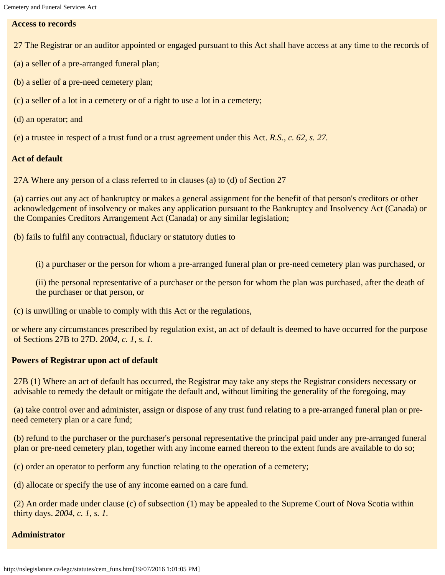### **Access to records**

- 27 The Registrar or an auditor appointed or engaged pursuant to this Act shall have access at any time to the records of
- (a) a seller of a pre-arranged funeral plan;
- (b) a seller of a pre-need cemetery plan;
- (c) a seller of a lot in a cemetery or of a right to use a lot in a cemetery;
- (d) an operator; and
- (e) a trustee in respect of a trust fund or a trust agreement under this Act. *R.S., c. 62, s. 27.*

### **Act of default**

27A Where any person of a class referred to in clauses (a) to (d) of Section 27

(a) carries out any act of bankruptcy or makes a general assignment for the benefit of that person's creditors or other acknowledgement of insolvency or makes any application pursuant to the Bankruptcy and Insolvency Act (Canada) or the Companies Creditors Arrangement Act (Canada) or any similar legislation;

(b) fails to fulfil any contractual, fiduciary or statutory duties to

(i) a purchaser or the person for whom a pre-arranged funeral plan or pre-need cemetery plan was purchased, or

(ii) the personal representative of a purchaser or the person for whom the plan was purchased, after the death of the purchaser or that person, or

(c) is unwilling or unable to comply with this Act or the regulations,

or where any circumstances prescribed by regulation exist, an act of default is deemed to have occurred for the purpose of Sections 27B to 27D. *2004, c. 1, s. 1.*

### **Powers of Registrar upon act of default**

27B (1) Where an act of default has occurred, the Registrar may take any steps the Registrar considers necessary or advisable to remedy the default or mitigate the default and, without limiting the generality of the foregoing, may

(a) take control over and administer, assign or dispose of any trust fund relating to a pre-arranged funeral plan or preneed cemetery plan or a care fund;

(b) refund to the purchaser or the purchaser's personal representative the principal paid under any pre-arranged funeral plan or pre-need cemetery plan, together with any income earned thereon to the extent funds are available to do so;

(c) order an operator to perform any function relating to the operation of a cemetery;

(d) allocate or specify the use of any income earned on a care fund.

(2) An order made under clause (c) of subsection (1) may be appealed to the Supreme Court of Nova Scotia within thirty days. *2004, c. 1, s. 1.*

### **Administrator**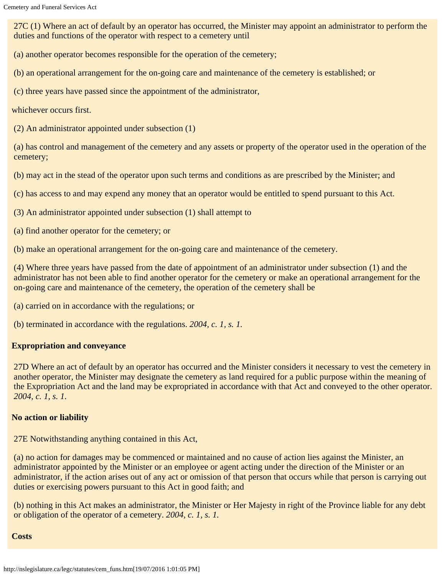27C (1) Where an act of default by an operator has occurred, the Minister may appoint an administrator to perform the duties and functions of the operator with respect to a cemetery until

(a) another operator becomes responsible for the operation of the cemetery;

(b) an operational arrangement for the on-going care and maintenance of the cemetery is established; or

(c) three years have passed since the appointment of the administrator,

whichever occurs first.

(2) An administrator appointed under subsection (1)

(a) has control and management of the cemetery and any assets or property of the operator used in the operation of the cemetery;

(b) may act in the stead of the operator upon such terms and conditions as are prescribed by the Minister; and

(c) has access to and may expend any money that an operator would be entitled to spend pursuant to this Act.

- (3) An administrator appointed under subsection (1) shall attempt to
- (a) find another operator for the cemetery; or

(b) make an operational arrangement for the on-going care and maintenance of the cemetery.

(4) Where three years have passed from the date of appointment of an administrator under subsection (1) and the administrator has not been able to find another operator for the cemetery or make an operational arrangement for the on-going care and maintenance of the cemetery, the operation of the cemetery shall be

(a) carried on in accordance with the regulations; or

(b) terminated in accordance with the regulations. *2004, c. 1, s. 1.*

### **Expropriation and conveyance**

27D Where an act of default by an operator has occurred and the Minister considers it necessary to vest the cemetery in another operator, the Minister may designate the cemetery as land required for a public purpose within the meaning of the Expropriation Act and the land may be expropriated in accordance with that Act and conveyed to the other operator. *2004, c. 1, s. 1.*

### **No action or liability**

27E Notwithstanding anything contained in this Act,

(a) no action for damages may be commenced or maintained and no cause of action lies against the Minister, an administrator appointed by the Minister or an employee or agent acting under the direction of the Minister or an administrator, if the action arises out of any act or omission of that person that occurs while that person is carrying out duties or exercising powers pursuant to this Act in good faith; and

(b) nothing in this Act makes an administrator, the Minister or Her Majesty in right of the Province liable for any debt or obligation of the operator of a cemetery. *2004, c. 1, s. 1.*

### **Costs**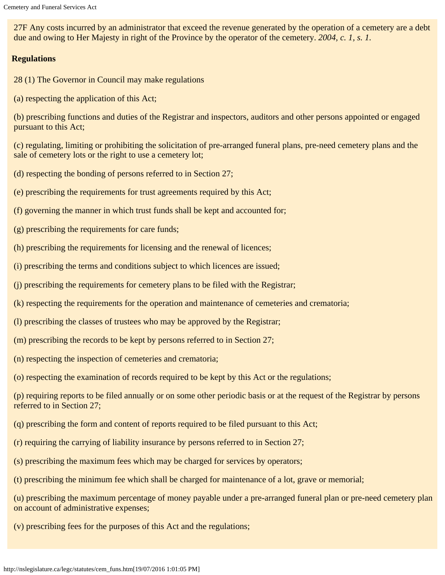27F Any costs incurred by an administrator that exceed the revenue generated by the operation of a cemetery are a debt due and owing to Her Majesty in right of the Province by the operator of the cemetery. *2004, c. 1, s. 1.*

### **Regulations**

- 28 (1) The Governor in Council may make regulations
- (a) respecting the application of this Act;

(b) prescribing functions and duties of the Registrar and inspectors, auditors and other persons appointed or engaged pursuant to this Act;

(c) regulating, limiting or prohibiting the solicitation of pre-arranged funeral plans, pre-need cemetery plans and the sale of cemetery lots or the right to use a cemetery lot;

- (d) respecting the bonding of persons referred to in Section 27;
- (e) prescribing the requirements for trust agreements required by this Act;
- (f) governing the manner in which trust funds shall be kept and accounted for;
- (g) prescribing the requirements for care funds;
- (h) prescribing the requirements for licensing and the renewal of licences;
- (i) prescribing the terms and conditions subject to which licences are issued;
- (j) prescribing the requirements for cemetery plans to be filed with the Registrar;
- (k) respecting the requirements for the operation and maintenance of cemeteries and crematoria;
- (l) prescribing the classes of trustees who may be approved by the Registrar;
- (m) prescribing the records to be kept by persons referred to in Section 27;
- (n) respecting the inspection of cemeteries and crematoria;
- (o) respecting the examination of records required to be kept by this Act or the regulations;

(p) requiring reports to be filed annually or on some other periodic basis or at the request of the Registrar by persons referred to in Section 27;

- (q) prescribing the form and content of reports required to be filed pursuant to this Act;
- (r) requiring the carrying of liability insurance by persons referred to in Section 27;
- (s) prescribing the maximum fees which may be charged for services by operators;
- (t) prescribing the minimum fee which shall be charged for maintenance of a lot, grave or memorial;

(u) prescribing the maximum percentage of money payable under a pre-arranged funeral plan or pre-need cemetery plan on account of administrative expenses;

(v) prescribing fees for the purposes of this Act and the regulations;